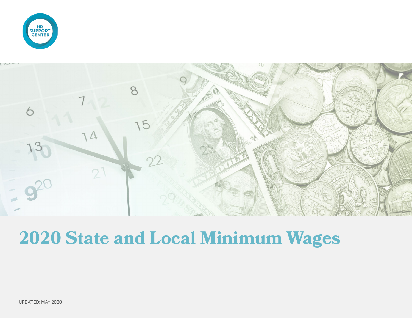



## **2020 State and Local Minimum Wages**

UPDATED: MAY 2020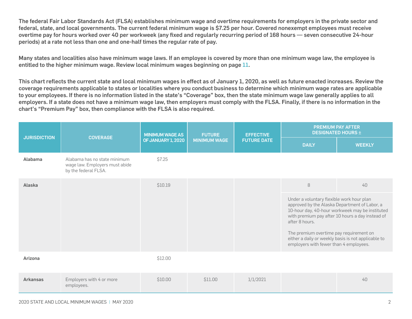The federal Fair Labor Standards Act (FLSA) establishes minimum wage and overtime requirements for employers in the private sector and federal, state, and local governments. The current federal minimum wage is \$7.25 per hour. Covered nonexempt employees must receive overtime pay for hours worked over 40 per workweek (any fixed and regularly recurring period of 168 hours — seven consecutive 24-hour periods) at a rate not less than one and one-half times the regular rate of pay.

Many states and localities also have minimum wage laws. If an employee is covered by more than one minimum wage law, the employee is entitled to the higher minimum wage. Review local minimum wages beginning on page [11.](#page-10-0)

This chart reflects the current state and local minimum wages in effect as of January 1, 2020, as well as future enacted increases. Review the coverage requirements applicable to states or localities where you conduct business to determine which minimum wage rates are applicable to your employees. If there is no information listed in the state's "Coverage" box, then the state minimum wage law generally applies to all employers. If a state does not have a minimum wage law, then employers must comply with the FLSA. Finally, if there is no information in the chart's "Premium Pay" box, then compliance with the FLSA is also required.

| <b>JURISDICTION</b> | <b>COVERAGE</b>                                                                        | <b>MINIMUM WAGE AS</b> | <b>FUTURE</b><br><b>MINIMUM WAGE</b> | <b>EFFECTIVE</b><br><b>FUTURE DATE</b> | <b>PREMIUM PAY AFTER</b><br><b>DESIGNATED HOURS ±</b>                                                                                                                                                                                                    |                                                                                                     |
|---------------------|----------------------------------------------------------------------------------------|------------------------|--------------------------------------|----------------------------------------|----------------------------------------------------------------------------------------------------------------------------------------------------------------------------------------------------------------------------------------------------------|-----------------------------------------------------------------------------------------------------|
|                     |                                                                                        | OF JANUARY 1, 2020     |                                      |                                        | <b>DAILY</b>                                                                                                                                                                                                                                             | <b>WEEKLY</b>                                                                                       |
| Alabama             | Alabama has no state minimum<br>wage law. Employers must abide<br>by the federal FLSA. | \$7.25                 |                                      |                                        |                                                                                                                                                                                                                                                          |                                                                                                     |
| Alaska              |                                                                                        | \$10.19                |                                      |                                        | 8                                                                                                                                                                                                                                                        | 40                                                                                                  |
|                     |                                                                                        |                        |                                      |                                        | Under a voluntary flexible work hour plan<br>approved by the Alaska Department of Labor, a<br>after 8 hours.<br>The premium overtime pay requirement on<br>either a daily or weekly basis is not applicable to<br>employers with fewer than 4 employees. | 10-hour day, 40-hour workweek may be instituted<br>with premium pay after 10 hours a day instead of |
| Arizona             |                                                                                        | \$12.00                |                                      |                                        |                                                                                                                                                                                                                                                          |                                                                                                     |
| <b>Arkansas</b>     | Employers with 4 or more<br>employees.                                                 | \$10.00                | \$11.00                              | 1/1/2021                               |                                                                                                                                                                                                                                                          | 40                                                                                                  |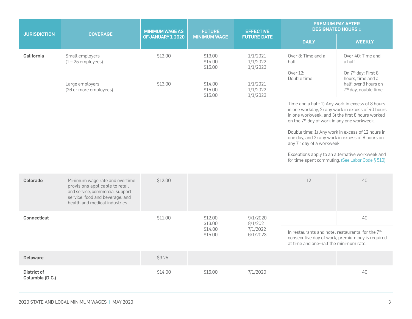|                     | <b>COVERAGE</b>                           | <b>MINIMUM WAGE AS</b><br>OF JANUARY 1, 2020 | <b>FUTURE</b><br><b>MINIMUM WAGE</b> | <b>EFFECTIVE</b><br><b>FUTURE DATE</b> | <b>PREMIUM PAY AFTER</b><br><b>DESIGNATED HOURS ±</b>                                                                                                                                                                 |                                                                                     |
|---------------------|-------------------------------------------|----------------------------------------------|--------------------------------------|----------------------------------------|-----------------------------------------------------------------------------------------------------------------------------------------------------------------------------------------------------------------------|-------------------------------------------------------------------------------------|
| <b>JURISDICTION</b> |                                           |                                              |                                      |                                        | <b>DAILY</b>                                                                                                                                                                                                          | <b>WEEKLY</b>                                                                       |
| <b>California</b>   | Small employers<br>$(1 - 25$ employees)   | \$12.00                                      | \$13.00<br>\$14.00<br>\$15.00        | 1/1/2021<br>1/1/2022<br>1/1/2023       | Over 8: Time and a<br>half<br>Over 12:<br>Double time                                                                                                                                                                 | Over 40: Time and<br>a half<br>On 7 <sup>th</sup> day: First 8<br>hours, time and a |
|                     | Large employers<br>(26 or more employees) | \$13.00                                      | \$14.00<br>\$15.00<br>\$15.00        | 1/1/2021<br>1/1/2022<br>1/1/2023       |                                                                                                                                                                                                                       | half; over 8 hours on<br>7 <sup>th</sup> day, double time                           |
|                     |                                           |                                              |                                      |                                        | Time and a half: 1) Any work in excess of 8 hours<br>in one workday, 2) any work in excess of 40 hours<br>in one workweek, and 3) the first 8 hours worked<br>on the 7 <sup>th</sup> day of work in any one workweek. |                                                                                     |
|                     |                                           |                                              |                                      |                                        | one day, and 2) any work in excess of 8 hours on<br>any 7 <sup>th</sup> day of a workweek.                                                                                                                            | Double time: 1) Any work in excess of 12 hours in                                   |

Exceptions apply to an alternative workweek and for time spent commuting. [\(See Labor Code § 510\)](http://leginfo.legislature.ca.gov/faces/codes_displaySection.xhtml?lawCode=LAB§ionNum=510.)

| Colorado                       | Minimum wage rate and overtime<br>provisions applicable to retail<br>and service, commercial support<br>service, food and beverage, and<br>health and medical industries. | \$12.00 |                                          |                                              | 12                                                                                                      | 40                                                     |
|--------------------------------|---------------------------------------------------------------------------------------------------------------------------------------------------------------------------|---------|------------------------------------------|----------------------------------------------|---------------------------------------------------------------------------------------------------------|--------------------------------------------------------|
| Connecticut                    |                                                                                                                                                                           | \$11.00 | \$12.00<br>\$13.00<br>\$14.00<br>\$15.00 | 9/1/2020<br>8/1/2021<br>7/1/2022<br>6/1/2023 | In restaurants and hotel restaurants, for the 7 <sup>th</sup><br>at time and one-half the minimum rate. | 40<br>consecutive day of work, premium pay is required |
| <b>Delaware</b>                |                                                                                                                                                                           | \$9.25  |                                          |                                              |                                                                                                         |                                                        |
| District of<br>Columbia (D.C.) |                                                                                                                                                                           | \$14.00 | \$15.00                                  | 7/1/2020                                     |                                                                                                         | 40                                                     |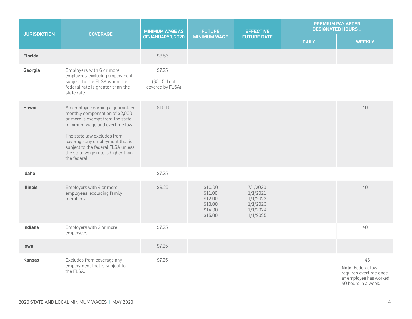| <b>JURISDICTION</b> | <b>COVERAGE</b>                                                                                                                                            | <b>MINIMUM WAGE AS</b>    | <b>FUTURE</b><br><b>MINIMUM WAGE</b>                           | <b>EFFECTIVE</b><br><b>FUTURE DATE</b>                               | PREMIUM PAY AFTER<br><b>DESIGNATED HOURS ±</b> |                                                                                                    |
|---------------------|------------------------------------------------------------------------------------------------------------------------------------------------------------|---------------------------|----------------------------------------------------------------|----------------------------------------------------------------------|------------------------------------------------|----------------------------------------------------------------------------------------------------|
|                     |                                                                                                                                                            | <b>OF JANUARY 1, 2020</b> |                                                                |                                                                      | <b>DAILY</b>                                   | <b>WEEKLY</b>                                                                                      |
| <b>Florida</b>      |                                                                                                                                                            | \$8.56                    |                                                                |                                                                      |                                                |                                                                                                    |
| Georgia             | Employers with 6 or more<br>employees, excluding employment<br>subject to the FLSA when the                                                                | \$7.25<br>(\$5.15 if not  |                                                                |                                                                      |                                                |                                                                                                    |
|                     | federal rate is greater than the<br>state rate.                                                                                                            | covered by FLSA)          |                                                                |                                                                      |                                                |                                                                                                    |
| Hawaii              | An employee earning a guaranteed<br>monthly compensation of \$2,000<br>or more is exempt from the state<br>minimum wage and overtime law.                  | \$10.10                   |                                                                |                                                                      |                                                | 40                                                                                                 |
|                     | The state law excludes from<br>coverage any employment that is<br>subject to the federal FLSA unless<br>the state wage rate is higher than<br>the federal. |                           |                                                                |                                                                      |                                                |                                                                                                    |
| Idaho               |                                                                                                                                                            | \$7.25                    |                                                                |                                                                      |                                                |                                                                                                    |
| <b>Illinois</b>     | Employers with 4 or more<br>employees, excluding family<br>members.                                                                                        | \$9.25                    | \$10.00<br>\$11.00<br>\$12.00<br>\$13.00<br>\$14.00<br>\$15.00 | 7/1/2020<br>1/1/2021<br>1/1/2022<br>1/1/2023<br>1/1/2024<br>1/1/2025 |                                                | 40                                                                                                 |
| Indiana             | Employers with 2 or more<br>employees.                                                                                                                     | \$7.25                    |                                                                |                                                                      |                                                | 40                                                                                                 |
| lowa                |                                                                                                                                                            | \$7.25                    |                                                                |                                                                      |                                                |                                                                                                    |
| Kansas              | Excludes from coverage any<br>employment that is subject to<br>the FLSA.                                                                                   | \$7.25                    |                                                                |                                                                      |                                                | 46<br>Note: Federal law<br>requires overtime once<br>an employee has worked<br>40 hours in a week. |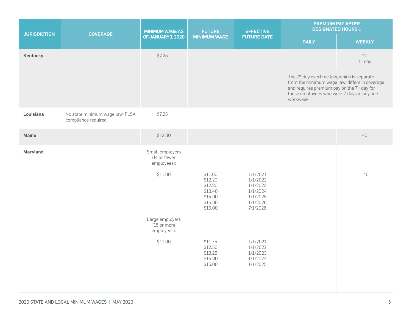| <b>JURISDICTION</b> | <b>COVERAGE</b>                                         | <b>MINIMUM WAGE AS</b>                         | <b>FUTURE</b>                                                             | <b>EFFECTIVE</b><br><b>FUTURE DATE</b>                                           | PREMIUM PAY AFTER<br><b>DESIGNATED HOURS ±</b>                                                                                                                                                                                  |                           |
|---------------------|---------------------------------------------------------|------------------------------------------------|---------------------------------------------------------------------------|----------------------------------------------------------------------------------|---------------------------------------------------------------------------------------------------------------------------------------------------------------------------------------------------------------------------------|---------------------------|
|                     |                                                         | OF JANUARY 1, 2020                             | <b>MINIMUM WAGE</b>                                                       |                                                                                  | <b>DAILY</b>                                                                                                                                                                                                                    | <b>WEEKLY</b>             |
| Kentucky            |                                                         | \$7.25                                         |                                                                           |                                                                                  |                                                                                                                                                                                                                                 | 40<br>7 <sup>th</sup> day |
|                     |                                                         |                                                |                                                                           |                                                                                  | The 7 <sup>th</sup> day overtime law, which is separate<br>from the minimum wage law, differs in coverage<br>and requires premium pay on the 7 <sup>th</sup> day for<br>those employees who work 7 days in any one<br>workweek. |                           |
| Louisiana           | No state minimum wage law, FLSA<br>compliance required. | \$7.25                                         |                                                                           |                                                                                  |                                                                                                                                                                                                                                 |                           |
| Maine               |                                                         | \$12.00                                        |                                                                           |                                                                                  |                                                                                                                                                                                                                                 | $40\,$                    |
| Maryland            |                                                         | Small employers<br>(14 or fewer<br>employees): |                                                                           |                                                                                  |                                                                                                                                                                                                                                 |                           |
|                     |                                                         | \$11.00                                        | \$11.60<br>\$12.20<br>\$12.80<br>\$13.40<br>\$14.00<br>\$14.60<br>\$15.00 | 1/1/2021<br>1/1/2022<br>1/1/2023<br>1/1/2024<br>1/1/2025<br>1/1/2026<br>7/1/2026 |                                                                                                                                                                                                                                 | 40                        |
|                     |                                                         | Large employers<br>(15 or more<br>employees):  |                                                                           |                                                                                  |                                                                                                                                                                                                                                 |                           |
|                     |                                                         | \$11.00                                        | \$11.75<br>\$12.50<br>\$13.25<br>\$14.00<br>\$15.00                       | 1/1/2021<br>1/1/2022<br>1/1/2023<br>1/1/2024<br>1/1/2025                         |                                                                                                                                                                                                                                 |                           |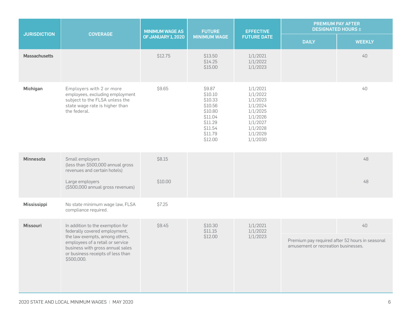|                      |                                                                                                                                                                                                                                | <b>MINIMUM WAGE AS</b> | <b>FUTURE</b>                                                                                             | <b>EFFECTIVE</b>                                                                                                     |                                     | <b>PREMIUM PAY AFTER</b><br><b>DESIGNATED HOURS ±</b> |
|----------------------|--------------------------------------------------------------------------------------------------------------------------------------------------------------------------------------------------------------------------------|------------------------|-----------------------------------------------------------------------------------------------------------|----------------------------------------------------------------------------------------------------------------------|-------------------------------------|-------------------------------------------------------|
| <b>JURISDICTION</b>  | <b>COVERAGE</b>                                                                                                                                                                                                                | OF JANUARY 1, 2020     | <b>MINIMUM WAGE</b>                                                                                       | <b>FUTURE DATE</b>                                                                                                   | <b>DAILY</b>                        | <b>WEEKLY</b>                                         |
| <b>Massachusetts</b> |                                                                                                                                                                                                                                | \$12.75                | \$13.50<br>\$14.25<br>\$15.00                                                                             | 1/1/2021<br>1/1/2022<br>1/1/2023                                                                                     |                                     | 40                                                    |
| Michigan             | Employers with 2 or more<br>employees, excluding employment<br>subject to the FLSA unless the<br>state wage rate is higher than<br>the federal.                                                                                | \$9.65                 | \$9.87<br>\$10.10<br>\$10.33<br>\$10.56<br>\$10.80<br>\$11.04<br>\$11.29<br>\$11.54<br>\$11.79<br>\$12.00 | 1/1/2021<br>1/1/2022<br>1/1/2023<br>1/1/2024<br>1/1/2025<br>1/1/2026<br>1/1/2027<br>1/1/2028<br>1/1/2029<br>1/1/2030 |                                     | 40                                                    |
| <b>Minnesota</b>     | Small employers<br>(less than \$500,000 annual gross<br>revenues and certain hotels)<br>Large employers<br>(\$500,000 annual gross revenues)                                                                                   | \$8.15<br>\$10.00      |                                                                                                           |                                                                                                                      |                                     | 48<br>48                                              |
| Mississippi          | No state minimum wage law, FLSA<br>compliance required.                                                                                                                                                                        | \$7.25                 |                                                                                                           |                                                                                                                      |                                     |                                                       |
| <b>Missouri</b>      | In addition to the exemption for<br>federally covered employment,<br>the law exempts, among others,<br>employees of a retail or service<br>business with gross annual sales<br>or business receipts of less than<br>\$500,000. | \$9.45                 | \$10.30<br>\$11.15<br>\$12.00                                                                             | 1/1/2021<br>1/1/2022<br>1/1/2023                                                                                     | amusement or recreation businesses. | 40<br>Premium pay required after 52 hours in seasonal |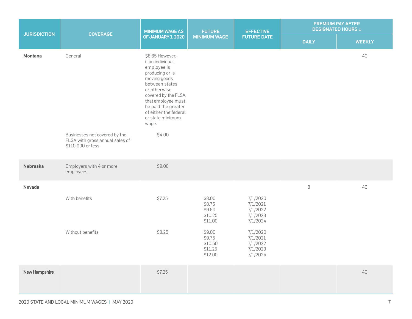| <b>JURISDICTION</b> | <b>COVERAGE</b>                                                                        | <b>MINIMUM WAGE AS</b>                                                                                                                                                                                                                             | <b>FUTURE</b>                                     | <b>EFFECTIVE</b>                                         | <b>PREMIUM PAY AFTER</b><br><b>DESIGNATED HOURS ±</b> |               |
|---------------------|----------------------------------------------------------------------------------------|----------------------------------------------------------------------------------------------------------------------------------------------------------------------------------------------------------------------------------------------------|---------------------------------------------------|----------------------------------------------------------|-------------------------------------------------------|---------------|
|                     |                                                                                        | OF JANUARY 1, 2020                                                                                                                                                                                                                                 | <b>MINIMUM WAGE</b>                               | <b>FUTURE DATE</b>                                       | <b>DAILY</b>                                          | <b>WEEKLY</b> |
| Montana             | General                                                                                | \$8.65 However,<br>if an individual<br>employee is<br>producing or is<br>moving goods<br>between states<br>or otherwise<br>covered by the FLSA,<br>that employee must<br>be paid the greater<br>of either the federal<br>or state minimum<br>wage. |                                                   |                                                          |                                                       | 40            |
|                     | Businesses not covered by the<br>FLSA with gross annual sales of<br>\$110,000 or less. | \$4.00                                                                                                                                                                                                                                             |                                                   |                                                          |                                                       |               |
| <b>Nebraska</b>     | Employers with 4 or more<br>employees.                                                 | \$9.00                                                                                                                                                                                                                                             |                                                   |                                                          |                                                       |               |
| Nevada              |                                                                                        |                                                                                                                                                                                                                                                    |                                                   |                                                          | $\, 8$                                                | 40            |
|                     | With benefits                                                                          | \$7.25                                                                                                                                                                                                                                             | \$8.00<br>\$8.75<br>\$9.50<br>\$10.25<br>\$11.00  | 7/1/2020<br>7/1/2021<br>7/1/2022<br>7/1/2023<br>7/1/2024 |                                                       |               |
|                     | Without benefits                                                                       | \$8.25                                                                                                                                                                                                                                             | \$9.00<br>\$9.75<br>\$10.50<br>\$11.25<br>\$12.00 | 7/1/2020<br>7/1/2021<br>7/1/2022<br>7/1/2023<br>7/1/2024 |                                                       |               |
| New Hampshire       |                                                                                        | \$7.25                                                                                                                                                                                                                                             |                                                   |                                                          |                                                       | 40            |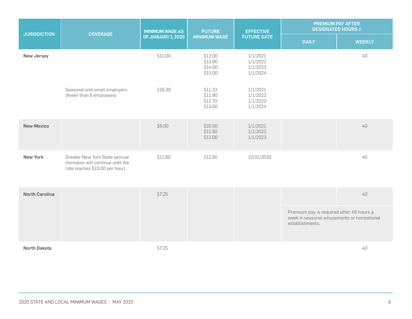|                       |                                                                                                       | <b>MINIMUM WAGE AS</b> | <b>FUTURE</b>                            | <b>EFFECTIVE</b>                             | <b>DESIGNATED HOURS ±</b>                                                                                  | <b>PREMIUM PAY AFTER</b> |
|-----------------------|-------------------------------------------------------------------------------------------------------|------------------------|------------------------------------------|----------------------------------------------|------------------------------------------------------------------------------------------------------------|--------------------------|
| <b>JURISDICTION</b>   | <b>COVERAGE</b>                                                                                       | OF JANUARY 1, 2020     | <b>MINIMUM WAGE</b>                      | <b>FUTURE DATE</b>                           | <b>DAILY</b>                                                                                               | <b>WEEKLY</b>            |
| <b>New Jersey</b>     |                                                                                                       | \$11.00                | \$12.00<br>\$13.00<br>\$14.00<br>\$15.00 | 1/1/2021<br>1/1/2022<br>1/1/2023<br>1/1/2024 |                                                                                                            | 40                       |
|                       | Seasonal and small employers<br>(fewer than 6 employees)                                              | \$10.30                | \$11.10<br>\$11.90<br>\$12.70<br>\$13.50 | 1/1/2021<br>1/1/2022<br>1/1/2023<br>1/1/2024 |                                                                                                            |                          |
| <b>New Mexico</b>     |                                                                                                       | \$9.00                 | \$10.50<br>\$11.50<br>\$12.00            | 1/1/2021<br>1/1/2022<br>1/1/2023             |                                                                                                            | 40                       |
| <b>New York</b>       | Greater New York State (annual<br>increases will continue until the<br>rate reaches \$15.00 per hour) | \$11.80                | \$12.50                                  | 12/31/2020                                   |                                                                                                            | 40                       |
| <b>North Carolina</b> |                                                                                                       | \$7.25                 |                                          |                                              |                                                                                                            | 40                       |
|                       |                                                                                                       |                        |                                          |                                              | Premium pay is required after 45 hours a<br>week in seasonal amusements or recreational<br>establishments. |                          |
| <b>North Dakota</b>   |                                                                                                       | \$7.25                 |                                          |                                              |                                                                                                            | $40\,$                   |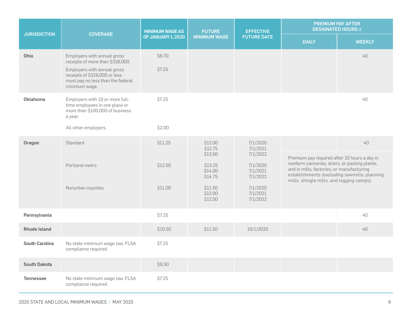|                       | <b>COVERAGE</b>                                                                                                                                                                       | <b>MINIMUM WAGE AS</b> | <b>FUTURE</b>                 | <b>EFFECTIVE</b>                 |                                                                                                                                                                                                                                               | <b>PREMIUM PAY AFTER</b><br><b>DESIGNATED HOURS ±</b> |
|-----------------------|---------------------------------------------------------------------------------------------------------------------------------------------------------------------------------------|------------------------|-------------------------------|----------------------------------|-----------------------------------------------------------------------------------------------------------------------------------------------------------------------------------------------------------------------------------------------|-------------------------------------------------------|
| <b>JURISDICTION</b>   |                                                                                                                                                                                       | OF JANUARY 1, 2020     | <b>MINIMUM WAGE</b>           | <b>FUTURE DATE</b>               | <b>DAILY</b>                                                                                                                                                                                                                                  | <b>WEEKLY</b>                                         |
| Ohio                  | Employers with annual gross<br>receipts of more than \$319,000.<br>Employers with annual gross<br>receipts of \$319,000 or less<br>must pay no less than the federal<br>minimum wage. | \$8.70<br>\$7.25       |                               |                                  |                                                                                                                                                                                                                                               | 40                                                    |
| Oklahoma              | Employers with 10 or more full-<br>time employees in one place or<br>more than \$100,000 of business<br>a year.                                                                       | \$7.25                 |                               |                                  |                                                                                                                                                                                                                                               | 40                                                    |
|                       | All other employers.                                                                                                                                                                  | \$2.00                 |                               |                                  |                                                                                                                                                                                                                                               |                                                       |
| Oregon                | Standard                                                                                                                                                                              | \$11.25                | \$12.00<br>\$12.75<br>\$13.50 | 7/1/2020<br>7/1/2021<br>7/1/2022 | 40<br>Premium pay required after 10 hours a day in<br>nonfarm canneries, driers, or packing plants,<br>and in mills, factories, or manufacturing<br>establishments (excluding sawmills, planning<br>mills, shingle mills, and logging camps). |                                                       |
|                       | Portland metro                                                                                                                                                                        | \$12.50                | \$13.25<br>\$14.00<br>\$14.75 | 7/1/2020<br>7/1/2021<br>7/1/2022 |                                                                                                                                                                                                                                               |                                                       |
|                       | Nonurban counties                                                                                                                                                                     | \$11.00                | \$11.50<br>\$12.00<br>\$12.50 | 7/1/2020<br>7/1/2021<br>7/1/2022 |                                                                                                                                                                                                                                               |                                                       |
| Pennsylvania          |                                                                                                                                                                                       | \$7.25                 |                               |                                  |                                                                                                                                                                                                                                               | 40                                                    |
| <b>Rhode Island</b>   |                                                                                                                                                                                       | \$10.50                | \$11.50                       | 10/1/2020                        |                                                                                                                                                                                                                                               | 40                                                    |
| <b>South Carolina</b> | No state minimum wage law, FLSA<br>compliance required.                                                                                                                               | \$7.25                 |                               |                                  |                                                                                                                                                                                                                                               |                                                       |
| <b>South Dakota</b>   |                                                                                                                                                                                       | \$9.30                 |                               |                                  |                                                                                                                                                                                                                                               |                                                       |
| <b>Tennessee</b>      | No state minimum wage law, FLSA<br>compliance required.                                                                                                                               | \$7.25                 |                               |                                  |                                                                                                                                                                                                                                               |                                                       |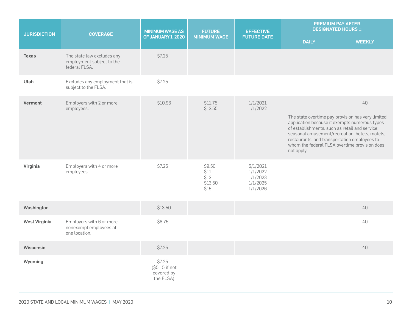| <b>JURISDICTION</b>  | <b>COVERAGE</b>                                                          | <b>MINIMUM WAGE AS</b>                              | <b>FUTURE</b>                             | <b>EFFECTIVE</b><br><b>FUTURE DATE</b>                   |                                                                                                                                                               | <b>PREMIUM PAY AFTER</b><br><b>DESIGNATED HOURS ±</b>                                                                                                |
|----------------------|--------------------------------------------------------------------------|-----------------------------------------------------|-------------------------------------------|----------------------------------------------------------|---------------------------------------------------------------------------------------------------------------------------------------------------------------|------------------------------------------------------------------------------------------------------------------------------------------------------|
|                      |                                                                          | <b>OF JANUARY 1, 2020</b>                           | <b>MINIMUM WAGE</b>                       |                                                          | <b>DAILY</b>                                                                                                                                                  | <b>WEEKLY</b>                                                                                                                                        |
| <b>Texas</b>         | The state law excludes any<br>employment subject to the<br>federal FLSA. | \$7.25                                              |                                           |                                                          |                                                                                                                                                               |                                                                                                                                                      |
| Utah                 | Excludes any employment that is<br>subject to the FLSA.                  | \$7.25                                              |                                           |                                                          |                                                                                                                                                               |                                                                                                                                                      |
| Vermont              | Employers with 2 or more<br>employees.                                   | \$10.96                                             | \$11.75<br>\$12.55                        | 1/1/2021<br>1/1/2022                                     |                                                                                                                                                               | 40                                                                                                                                                   |
|                      |                                                                          |                                                     |                                           |                                                          | application because it exempts numerous types<br>of establishments, such as retail and service;<br>restaurants; and transportation employees to<br>not apply. | The state overtime pay provision has very limited<br>seasonal amusement/recreation; hotels, motels,<br>whom the federal FLSA overtime provision does |
| Virginia             | Employers with 4 or more<br>employees.                                   | \$7.25                                              | \$9.50<br>\$11<br>\$12<br>\$13.50<br>\$15 | 5/1/2021<br>1/1/2022<br>1/1/2023<br>1/1/2025<br>1/1/2026 |                                                                                                                                                               |                                                                                                                                                      |
| Washington           |                                                                          | \$13.50                                             |                                           |                                                          |                                                                                                                                                               | 40                                                                                                                                                   |
| <b>West Virginia</b> | Employers with 6 or more<br>nonexempt employees at<br>one location.      | \$8.75                                              |                                           |                                                          |                                                                                                                                                               | 40                                                                                                                                                   |
| <b>Wisconsin</b>     |                                                                          | \$7.25                                              |                                           |                                                          |                                                                                                                                                               | 40                                                                                                                                                   |
| Wyoming              |                                                                          | \$7.25<br>(\$5.15 if not<br>covered by<br>the FLSA) |                                           |                                                          |                                                                                                                                                               |                                                                                                                                                      |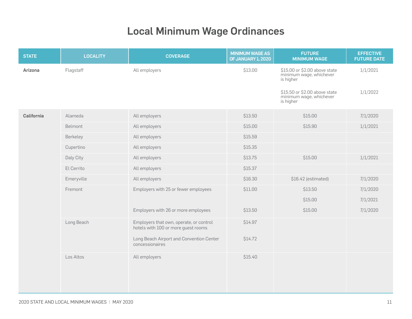## Local Minimum Wage Ordinances

<span id="page-10-0"></span>

| <b>STATE</b> | <b>LOCALITY</b> | <b>COVERAGE</b>                                                                | <b>MINIMUM WAGE AS</b><br>OF JANUARY 1, 2020 | <b>FUTURE</b><br><b>MINIMUM WAGE</b>                                  | <b>EFFECTIVE</b><br><b>FUTURE DATE</b> |
|--------------|-----------------|--------------------------------------------------------------------------------|----------------------------------------------|-----------------------------------------------------------------------|----------------------------------------|
| Arizona      | Flagstaff       | All employers                                                                  | \$13.00                                      | \$15.00 or \$2.00 above state<br>minimum wage, whichever<br>is higher | 1/1/2021                               |
|              |                 |                                                                                |                                              | \$15.50 or \$2.00 above state<br>minimum wage, whichever<br>is higher | 1/1/2022                               |
| California   | Alameda         | All employers                                                                  | \$13.50                                      | \$15.00                                                               | 7/1/2020                               |
|              | Belmont         | All employers                                                                  | \$15.00                                      | \$15.90                                                               | 1/1/2021                               |
|              | Berkeley        | All employers                                                                  | \$15.59                                      |                                                                       |                                        |
|              | Cupertino       | All employers                                                                  | \$15.35                                      |                                                                       |                                        |
|              | Daly City       | All employers                                                                  | \$13.75                                      | \$15.00                                                               | 1/1/2021                               |
|              | El Cerrito      | All employers                                                                  | \$15.37                                      |                                                                       |                                        |
|              | Emeryville      | All employers                                                                  | \$16.30                                      | \$16.42 (estimated)                                                   | 7/1/2020                               |
|              | Fremont         | Employers with 25 or fewer employees                                           | \$11.00                                      | \$13.50                                                               | 7/1/2020                               |
|              |                 |                                                                                |                                              | \$15.00                                                               | 7/1/2021                               |
|              |                 | Employers with 26 or more employees                                            | \$13.50                                      | \$15.00                                                               | 7/1/2020                               |
|              | Long Beach      | Employers that own, operate, or control<br>hotels with 100 or more guest rooms | \$14.97                                      |                                                                       |                                        |
|              |                 | Long Beach Airport and Convention Center<br>concessionaires                    | \$14.72                                      |                                                                       |                                        |
|              | Los Altos       | All employers                                                                  | \$15.40                                      |                                                                       |                                        |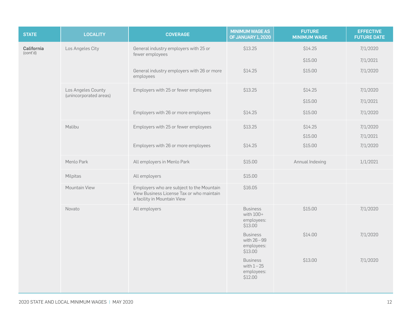| <b>STATE</b>           | <b>LOCALITY</b>        | <b>COVERAGE</b>                                                                                                       | <b>MINIMUM WAGE AS</b><br><b>OF JANUARY 1, 2020</b>     | <b>FUTURE</b><br><b>MINIMUM WAGE</b> | <b>EFFECTIVE</b><br><b>FUTURE DATE</b> |
|------------------------|------------------------|-----------------------------------------------------------------------------------------------------------------------|---------------------------------------------------------|--------------------------------------|----------------------------------------|
| California<br>(cont'd) | Los Angeles City       | General industry employers with 25 or<br>fewer employees                                                              | \$13.25                                                 | \$14.25                              | 7/1/2020                               |
|                        |                        |                                                                                                                       |                                                         | \$15.00                              | 7/1/2021                               |
|                        |                        | General industry employers with 26 or more<br>employees                                                               | \$14.25                                                 | \$15.00                              | 7/1/2020                               |
|                        | Los Angeles County     | Employers with 25 or fewer employees                                                                                  | \$13.25                                                 | \$14.25                              | 7/1/2020                               |
|                        | (unincorporated areas) |                                                                                                                       |                                                         | \$15.00                              | 7/1/2021                               |
|                        |                        | Employers with 26 or more employees                                                                                   | \$14.25                                                 | \$15.00                              | 7/1/2020                               |
|                        | Malibu                 | Employers with 25 or fewer employees                                                                                  | \$13.25                                                 | \$14.25                              | 7/1/2020                               |
|                        |                        |                                                                                                                       |                                                         | \$15.00                              | 7/1/2021                               |
|                        |                        | Employers with 26 or more employees                                                                                   | \$14.25                                                 | \$15.00                              | 7/1/2020                               |
|                        | Menlo Park             | All employers in Menlo Park                                                                                           | \$15.00                                                 | Annual Indexing                      | 1/1/2021                               |
|                        | Milpitas               | All employers                                                                                                         | \$15.00                                                 |                                      |                                        |
|                        | Mountain View          | Employers who are subject to the Mountain<br>View Business License Tax or who maintain<br>a facility in Mountain View | \$16.05                                                 |                                      |                                        |
|                        | Novato                 | All employers                                                                                                         | <b>Business</b><br>with 100+<br>employees:<br>\$13.00   | \$15.00                              | 7/1/2020                               |
|                        |                        |                                                                                                                       | <b>Business</b><br>with 26-99<br>employees:<br>\$13.00  | \$14.00                              | 7/1/2020                               |
|                        |                        |                                                                                                                       | <b>Business</b><br>with $1-25$<br>employees:<br>\$12.00 | \$13.00                              | 7/1/2020                               |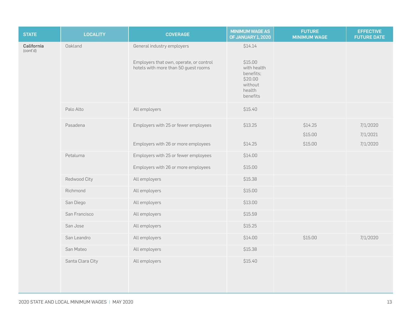| <b>STATE</b>           | <b>LOCALITY</b>  | <b>COVERAGE</b>                                                                 | <b>MINIMUM WAGE AS</b><br><b>OF JANUARY 1, 2020</b>                             | <b>FUTURE</b><br><b>MINIMUM WAGE</b> | <b>EFFECTIVE</b><br><b>FUTURE DATE</b> |
|------------------------|------------------|---------------------------------------------------------------------------------|---------------------------------------------------------------------------------|--------------------------------------|----------------------------------------|
| California<br>(cont'd) | Oakland          | General industry employers                                                      | \$14.14                                                                         |                                      |                                        |
|                        |                  | Employers that own, operate, or control<br>hotels with more than 50 guest rooms | \$15.00<br>with health<br>benefits;<br>\$20.00<br>without<br>health<br>benefits |                                      |                                        |
|                        | Palo Alto        | All employers                                                                   | \$15.40                                                                         |                                      |                                        |
|                        | Pasadena         | Employers with 25 or fewer employees                                            | \$13.25                                                                         | \$14.25<br>\$15.00                   | 7/1/2020<br>7/1/2021                   |
|                        |                  | Employers with 26 or more employees                                             | \$14.25                                                                         | \$15.00                              | 7/1/2020                               |
|                        | Petaluma         | Employers with 25 or fewer employees                                            | \$14.00                                                                         |                                      |                                        |
|                        |                  | Employers with 26 or more employees                                             | \$15.00                                                                         |                                      |                                        |
|                        | Redwood City     | All employers                                                                   | \$15.38                                                                         |                                      |                                        |
|                        | Richmond         | All employers                                                                   | \$15.00                                                                         |                                      |                                        |
|                        | San Diego        | All employers                                                                   | \$13.00                                                                         |                                      |                                        |
|                        | San Francisco    | All employers                                                                   | \$15.59                                                                         |                                      |                                        |
|                        | San Jose         | All employers                                                                   | \$15.25                                                                         |                                      |                                        |
|                        | San Leandro      | All employers                                                                   | \$14.00                                                                         | \$15.00                              | 7/1/2020                               |
|                        | San Mateo        | All employers                                                                   | \$15.38                                                                         |                                      |                                        |
|                        | Santa Clara City | All employers                                                                   | \$15.40                                                                         |                                      |                                        |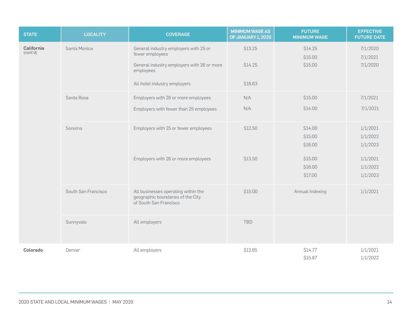| <b>STATE</b>           | <b>LOCALITY</b>     | <b>COVERAGE</b>                                                                                                                                     | <b>MINIMUM WAGE AS</b><br><b>OF JANUARY 1, 2020</b> | <b>FUTURE</b><br><b>MINIMUM WAGE</b>                           | <b>EFFECTIVE</b><br><b>FUTURE DATE</b>                               |
|------------------------|---------------------|-----------------------------------------------------------------------------------------------------------------------------------------------------|-----------------------------------------------------|----------------------------------------------------------------|----------------------------------------------------------------------|
| California<br>(cont'd) | Santa Monica        | General industry employers with 25 or<br>fewer employees<br>General industry employers with 26 or more<br>employees<br>All hotel industry employers | \$13.25<br>\$14.25<br>\$16.63                       | \$14.25<br>\$15.00<br>\$15.00                                  | 7/1/2020<br>7/1/2021<br>7/1/2020                                     |
|                        | Santa Rosa          | Employers with 26 or more employees<br>Employers with fewer than 25 employees                                                                       | N/A<br>N/A                                          | \$15.00<br>\$14.00                                             | 7/1/2021<br>7/1/2021                                                 |
|                        | Sonoma              | Employers with 25 or fewer employees<br>Employers with 26 or more employees                                                                         | \$12.50<br>\$13.50                                  | \$14.00<br>\$15.00<br>\$16.00<br>\$15.00<br>\$16.00<br>\$17.00 | 1/1/2021<br>1/1/2022<br>1/1/2023<br>1/1/2021<br>1/1/2022<br>1/1/2023 |
|                        | South San Francisco | All businesses operating within the<br>geographic boundaries of the City<br>of South San Francisco                                                  | \$15.00                                             | Annual Indexing                                                | 1/1/2021                                                             |
|                        | Sunnyvale           | All employers                                                                                                                                       | <b>TBD</b>                                          |                                                                |                                                                      |
| Colorado               | Denver              | All employers                                                                                                                                       | \$12.85                                             | \$14.77<br>\$15.87                                             | 1/1/2021<br>1/1/2022                                                 |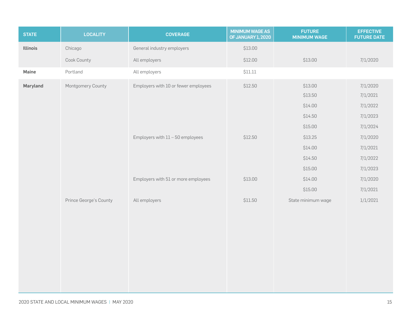| <b>STATE</b>    | <b>LOCALITY</b>        | <b>COVERAGE</b>                      | <b>MINIMUM WAGE AS</b><br>OF JANUARY 1, 2020 | <b>FUTURE</b><br><b>MINIMUM WAGE</b> | <b>EFFECTIVE</b><br><b>FUTURE DATE</b> |
|-----------------|------------------------|--------------------------------------|----------------------------------------------|--------------------------------------|----------------------------------------|
| <b>Illinois</b> | Chicago                | General industry employers           | \$13.00                                      |                                      |                                        |
|                 | Cook County            | All employers                        | \$12.00                                      | \$13.00                              | 7/1/2020                               |
| Maine           | Portland               | All employers                        | \$11.11                                      |                                      |                                        |
| Maryland        | Montgomery County      | Employers with 10 or fewer employees | \$12.50                                      | \$13.00<br>\$13.50                   | 7/1/2020<br>7/1/2021                   |
|                 |                        |                                      |                                              | \$14.00                              | 7/1/2022                               |
|                 |                        |                                      |                                              | \$14.50                              | 7/1/2023                               |
|                 |                        |                                      |                                              | \$15.00                              | 7/1/2024                               |
|                 |                        | Employers with 11 - 50 employees     | \$12.50                                      | \$13.25                              | 7/1/2020                               |
|                 |                        |                                      |                                              | \$14.00                              | 7/1/2021                               |
|                 |                        |                                      |                                              | \$14.50                              | 7/1/2022                               |
|                 |                        |                                      |                                              | \$15.00                              | 7/1/2023                               |
|                 |                        | Employers with 51 or more employees  | \$13.00                                      | \$14.00                              | 7/1/2020                               |
|                 |                        |                                      |                                              | \$15.00                              | 7/1/2021                               |
|                 | Prince George's County | All employers                        | \$11.50                                      | State minimum wage                   | 1/1/2021                               |
|                 |                        |                                      |                                              |                                      |                                        |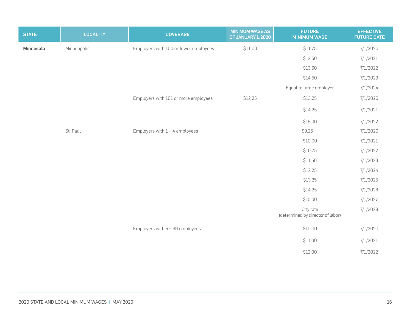| <b>STATE</b> | <b>LOCALITY</b> | <b>COVERAGE</b>                       | <b>MINIMUM WAGE AS</b><br>OF JANUARY 1, 2020 | <b>FUTURE</b><br><b>MINIMUM WAGE</b>           | <b>EFFECTIVE</b><br><b>FUTURE DATE</b> |
|--------------|-----------------|---------------------------------------|----------------------------------------------|------------------------------------------------|----------------------------------------|
| Minnesota    | Minneapolis     | Employers with 100 or fewer employees | \$11.00                                      | \$11.75                                        | 7/1/2020                               |
|              |                 |                                       |                                              | \$12.50                                        | 7/1/2021                               |
|              |                 |                                       |                                              | \$13.50                                        | 7/1/2022                               |
|              |                 |                                       |                                              | \$14.50                                        | 7/1/2023                               |
|              |                 |                                       |                                              | Equal to large employer                        | 7/1/2024                               |
|              |                 | Employers with 101 or more employees  | \$12.25                                      | \$13.25                                        | 7/1/2020                               |
|              |                 |                                       |                                              | \$14.25                                        | 7/1/2021                               |
|              |                 |                                       |                                              | \$15.00                                        | 7/1/2022                               |
|              | St. Paul        | Employers with $1 - 4$ employees      |                                              | \$9.25                                         | 7/1/2020                               |
|              |                 |                                       |                                              | \$10.00                                        | 7/1/2021                               |
|              |                 |                                       |                                              | \$10.75                                        | 7/1/2022                               |
|              |                 |                                       |                                              | \$11.50                                        | 7/1/2023                               |
|              |                 |                                       |                                              | \$12.25                                        | 7/1/2024                               |
|              |                 |                                       |                                              | \$13.25                                        | 7/1/2025                               |
|              |                 |                                       |                                              | \$14.25                                        | 7/1/2026                               |
|              |                 |                                       |                                              | \$15.00                                        | 7/1/2027                               |
|              |                 |                                       |                                              | City rate<br>(determined by director of labor) | 7/1/2028                               |
|              |                 | Employers with $5 - 99$ employees     |                                              | \$10.00                                        | 7/1/2020                               |
|              |                 |                                       |                                              | \$11.00                                        | 7/1/2021                               |
|              |                 |                                       |                                              | \$12.00                                        | 7/1/2022                               |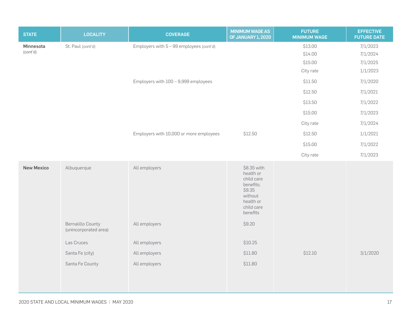| <b>STATE</b>      | <b>LOCALITY</b>                                   | <b>COVERAGE</b>                            | <b>MINIMUM WAGE AS</b><br>OF JANUARY 1, 2020                                                                    | <b>FUTURE</b><br><b>MINIMUM WAGE</b> | <b>EFFECTIVE</b><br><b>FUTURE DATE</b> |
|-------------------|---------------------------------------------------|--------------------------------------------|-----------------------------------------------------------------------------------------------------------------|--------------------------------------|----------------------------------------|
| Minnesota         | St. Paul (cont'd)                                 | Employers with $5 - 99$ employees (cont'd) |                                                                                                                 | \$13.00                              | 7/1/2023                               |
| (cont'd)          |                                                   |                                            |                                                                                                                 | \$14.00                              | 7/1/2024                               |
|                   |                                                   |                                            |                                                                                                                 | \$15.00                              | 7/1/2025                               |
|                   |                                                   |                                            |                                                                                                                 | City rate                            | 1/1/2023                               |
|                   |                                                   | Employers with 100 - 9,999 employees       |                                                                                                                 | \$11.50                              | 7/1/2020                               |
|                   |                                                   |                                            |                                                                                                                 | \$12.50                              | 7/1/2021                               |
|                   |                                                   |                                            |                                                                                                                 | \$13.50                              | 7/1/2022                               |
|                   |                                                   |                                            |                                                                                                                 | \$15.00                              | 7/1/2023                               |
|                   |                                                   |                                            |                                                                                                                 | City rate                            | 7/1/2024                               |
|                   |                                                   | Employers with 10,000 or more employees    | \$12.50                                                                                                         | \$12.50                              | 1/1/2021                               |
|                   |                                                   |                                            |                                                                                                                 | \$15.00                              | 7/1/2022                               |
|                   |                                                   |                                            |                                                                                                                 | City rate                            | 7/1/2023                               |
| <b>New Mexico</b> | Albuquerque                                       | All employers                              | \$8.35 with<br>health or<br>child care<br>benefits;<br>\$9.35<br>without<br>health or<br>child care<br>benefits |                                      |                                        |
|                   | <b>Bernalillo County</b><br>(unincorporated area) | All employers                              | \$9.20                                                                                                          |                                      |                                        |
|                   | Las Cruces                                        | All employers                              | \$10.25                                                                                                         |                                      |                                        |
|                   | Santa Fe (city)                                   | All employers                              | \$11.80                                                                                                         | \$12.10                              | 3/1/2020                               |
|                   | Santa Fe County                                   | All employers                              | \$11.80                                                                                                         |                                      |                                        |
|                   |                                                   |                                            |                                                                                                                 |                                      |                                        |